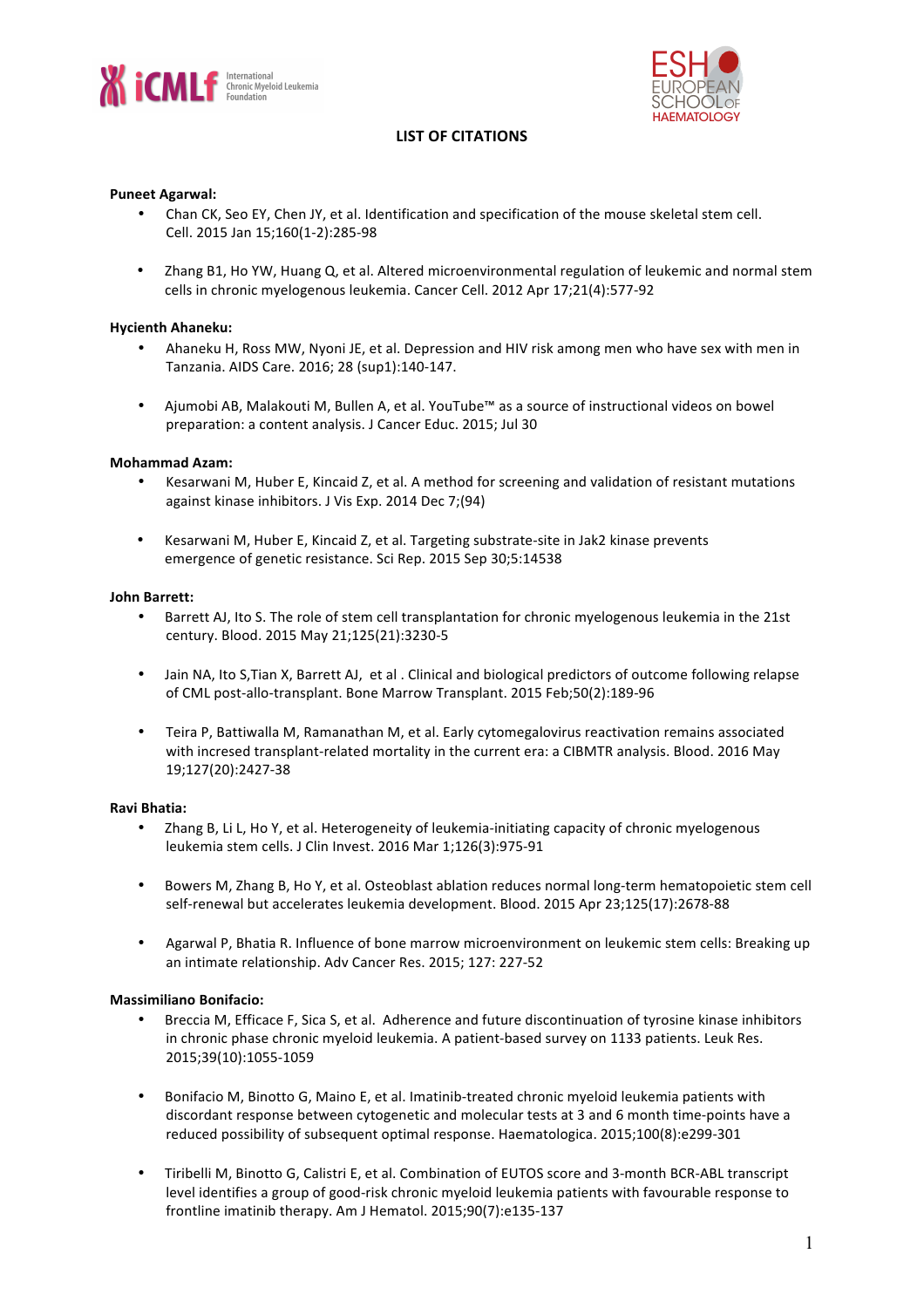



# **LIST OF CITATIONS**

### **Puneet Agarwal:**

- Chan CK, Seo EY, Chen JY, et al. Identification and specification of the mouse skeletal stem cell. Cell. 2015 Jan 15;160(1-2):285-98
- Zhang B1, Ho YW, Huang Q, et al. Altered microenvironmental regulation of leukemic and normal stem cells in chronic myelogenous leukemia. Cancer Cell. 2012 Apr 17;21(4):577-92

### **Hycienth Ahaneku:**

- Ahaneku H, Ross MW, Nyoni JE, et al. Depression and HIV risk among men who have sex with men in Tanzania. AIDS Care. 2016; 28 (sup1):140-147.
- Ajumobi AB, Malakouti M, Bullen A, et al. YouTube™ as a source of instructional videos on bowel preparation: a content analysis. J Cancer Educ. 2015; Jul 30

### **Mohammad Azam:**

- Kesarwani M, Huber E, Kincaid Z, et al. A method for screening and validation of resistant mutations against kinase inhibitors. J Vis Exp. 2014 Dec 7;(94)
- Kesarwani M, Huber E, Kincaid Z, et al. Targeting substrate-site in Jak2 kinase prevents emergence of genetic resistance. Sci Rep. 2015 Sep 30;5:14538

#### **John Barrett:**

- Barrett AJ, Ito S. The role of stem cell transplantation for chronic myelogenous leukemia in the 21st century. Blood. 2015 May 21;125(21):3230-5
- Jain NA, Ito S, Tian X, Barrett AJ, et al. Clinical and biological predictors of outcome following relapse of CML post-allo-transplant. Bone Marrow Transplant. 2015 Feb;50(2):189-96
- Teira P. Battiwalla M. Ramanathan M, et al. Early cytomegalovirus reactivation remains associated with incresed transplant-related mortality in the current era: a CIBMTR analysis. Blood. 2016 May 19;127(20):2427-38

#### **Ravi Bhatia:**

- Zhang B, Li L, Ho Y, et al. Heterogeneity of leukemia-initiating capacity of chronic myelogenous leukemia stem cells. J Clin Invest. 2016 Mar 1;126(3):975-91
- Bowers M, Zhang B, Ho Y, et al. Osteoblast ablation reduces normal long-term hematopoietic stem cell self-renewal but accelerates leukemia development. Blood. 2015 Apr 23;125(17):2678-88
- Agarwal P, Bhatia R. Influence of bone marrow microenvironment on leukemic stem cells: Breaking up an intimate relationship. Adv Cancer Res. 2015: 127: 227-52

#### **Massimiliano Bonifacio:**

- Breccia M, Efficace F, Sica S, et al. Adherence and future discontinuation of tyrosine kinase inhibitors in chronic phase chronic myeloid leukemia. A patient-based survey on 1133 patients. Leuk Res. 2015;39(10):1055-1059
- Bonifacio M, Binotto G, Maino E, et al. Imatinib-treated chronic myeloid leukemia patients with discordant response between cytogenetic and molecular tests at 3 and 6 month time-points have a reduced possibility of subsequent optimal response. Haematologica. 2015:100(8):e299-301
- Tiribelli M, Binotto G, Calistri E, et al. Combination of EUTOS score and 3-month BCR-ABL transcript level identifies a group of good-risk chronic myeloid leukemia patients with favourable response to frontline imatinib therapy. Am J Hematol. 2015;90(7):e135-137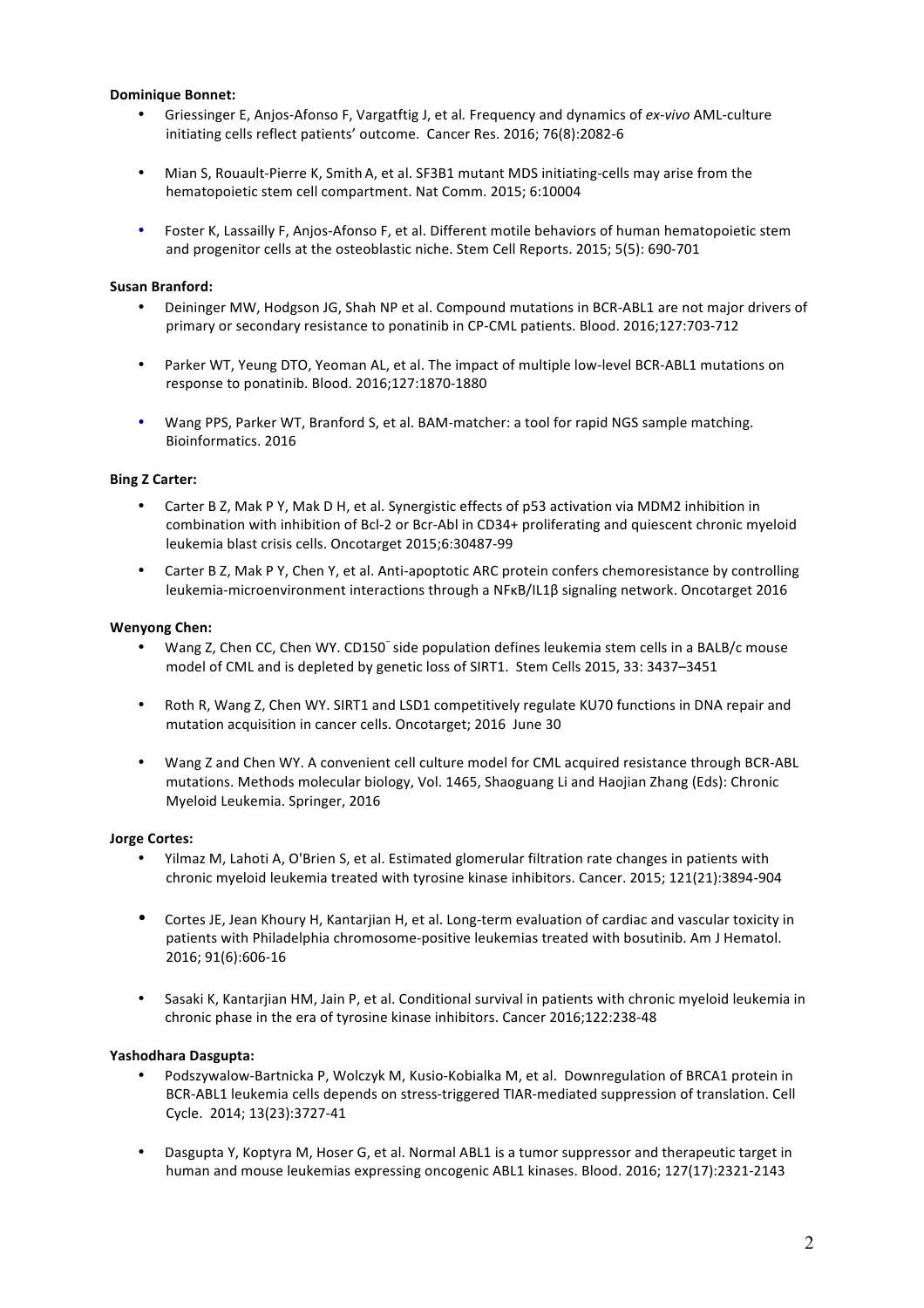## **Dominique Bonnet:**

- Griessinger E, Anjos-Afonso F, Vargatftig J, et al. Frequency and dynamics of ex-vivo AML-culture initiating cells reflect patients' outcome. Cancer Res. 2016; 76(8):2082-6
- Mian S, Rouault-Pierre K, Smith A, et al. SF3B1 mutant MDS initiating-cells may arise from the hematopoietic stem cell compartment. Nat Comm. 2015; 6:10004
- Foster K, Lassailly F, Anjos-Afonso F, et al. Different motile behaviors of human hematopoietic stem and progenitor cells at the osteoblastic niche. Stem Cell Reports. 2015; 5(5): 690-701

## **Susan Branford:**

- Deininger MW, Hodgson JG, Shah NP et al. Compound mutations in BCR-ABL1 are not major drivers of primary or secondary resistance to ponatinib in CP-CML patients. Blood. 2016;127:703-712
- Parker WT, Yeung DTO, Yeoman AL, et al. The impact of multiple low-level BCR-ABL1 mutations on response to ponatinib. Blood. 2016;127:1870-1880
- Wang PPS, Parker WT, Branford S, et al. BAM-matcher: a tool for rapid NGS sample matching. Bioinformatics. 2016

### **Bing Z Carter:**

- Carter B Z, Mak P Y, Mak D H, et al. Synergistic effects of p53 activation via MDM2 inhibition in combination with inhibition of Bcl-2 or Bcr-Abl in CD34+ proliferating and quiescent chronic myeloid leukemia blast crisis cells. Oncotarget 2015;6:30487-99
- Carter B Z, Mak P Y, Chen Y, et al. Anti-apoptotic ARC protein confers chemoresistance by controlling leukemia-microenvironment interactions through a NFκB/IL1β signaling network. Oncotarget 2016

### **Wenyong Chen:**

- Wang Z, Chen CC, Chen WY. CD150<sup>-</sup> side population defines leukemia stem cells in a BALB/c mouse model of CML and is depleted by genetic loss of SIRT1. Stem Cells 2015, 33: 3437-3451
- Roth R, Wang Z, Chen WY. SIRT1 and LSD1 competitively regulate KU70 functions in DNA repair and mutation acquisition in cancer cells. Oncotarget; 2016 June 30
- Wang Z and Chen WY. A convenient cell culture model for CML acquired resistance through BCR-ABL mutations. Methods molecular biology, Vol. 1465, Shaoguang Li and Haojian Zhang (Eds): Chronic Myeloid Leukemia. Springer, 2016

#### **Jorge Cortes:**

- Yilmaz M, Lahoti A, O'Brien S, et al. Estimated glomerular filtration rate changes in patients with chronic myeloid leukemia treated with tyrosine kinase inhibitors. Cancer. 2015; 121(21):3894-904
- Cortes JE, Jean Khoury H, Kantarjian H, et al. Long-term evaluation of cardiac and vascular toxicity in patients with Philadelphia chromosome-positive leukemias treated with bosutinib. Am J Hematol. 2016; 91(6):606-16
- Sasaki K, Kantarjian HM, Jain P, et al. Conditional survival in patients with chronic myeloid leukemia in chronic phase in the era of tyrosine kinase inhibitors. Cancer 2016;122:238-48

#### **Yashodhara Dasgupta:**

- Podszywalow-Bartnicka P, Wolczyk M, Kusio-Kobialka M, et al. Downregulation of BRCA1 protein in BCR-ABL1 leukemia cells depends on stress-triggered TIAR-mediated suppression of translation. Cell Cycle. 2014; 13(23):3727-41
- Dasgupta Y, Koptyra M, Hoser G, et al. Normal ABL1 is a tumor suppressor and therapeutic target in human and mouse leukemias expressing oncogenic ABL1 kinases. Blood. 2016; 127(17):2321-2143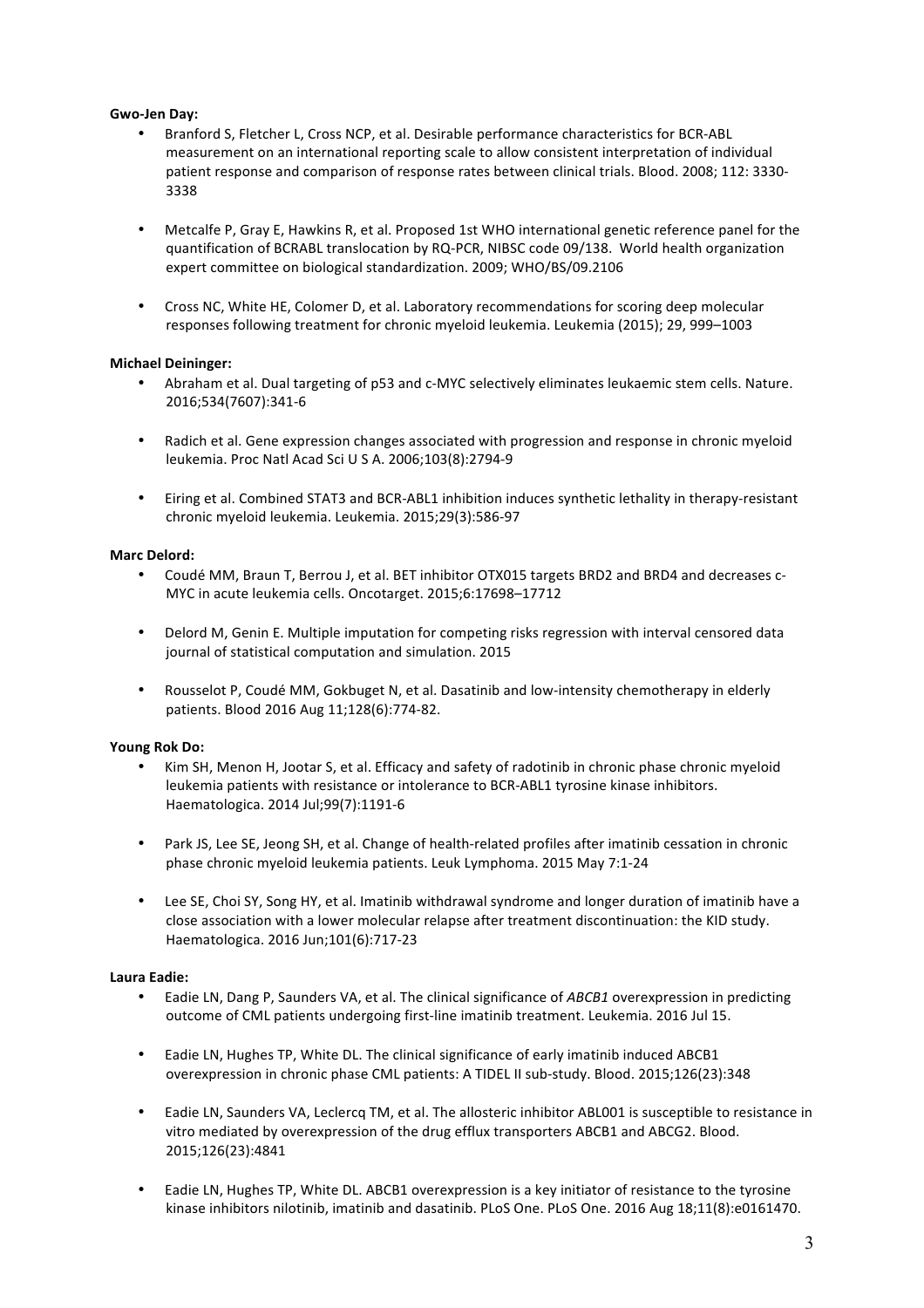## **Gwo-Jen Day:**

- Branford S, Fletcher L, Cross NCP, et al. Desirable performance characteristics for BCR-ABL measurement on an international reporting scale to allow consistent interpretation of individual patient response and comparison of response rates between clinical trials. Blood. 2008; 112: 3330-3338
- Metcalfe P, Gray E, Hawkins R, et al. Proposed 1st WHO international genetic reference panel for the quantification of BCRABL translocation by RQ-PCR, NIBSC code 09/138. World health organization expert committee on biological standardization. 2009; WHO/BS/09.2106
- Cross NC, White HE, Colomer D, et al. Laboratory recommendations for scoring deep molecular responses following treatment for chronic myeloid leukemia. Leukemia (2015); 29, 999-1003

### **Michael Deininger:**

- Abraham et al. Dual targeting of p53 and c-MYC selectively eliminates leukaemic stem cells. Nature. 2016;534(7607):341-6
- Radich et al. Gene expression changes associated with progression and response in chronic myeloid leukemia. Proc Natl Acad Sci U S A. 2006;103(8):2794-9
- Eiring et al. Combined STAT3 and BCR-ABL1 inhibition induces synthetic lethality in therapy-resistant chronic myeloid leukemia. Leukemia. 2015;29(3):586-97

#### **Marc Delord:**

- Coudé MM, Braun T, Berrou J, et al. BET inhibitor OTX015 targets BRD2 and BRD4 and decreases c-MYC in acute leukemia cells. Oncotarget. 2015;6:17698-17712
- Delord M, Genin E. Multiple imputation for competing risks regression with interval censored data journal of statistical computation and simulation. 2015
- Rousselot P, Coudé MM, Gokbuget N, et al. Dasatinib and low-intensity chemotherapy in elderly patients. Blood 2016 Aug 11;128(6):774-82.

## **Young Rok Do:**

- Kim SH, Menon H, Jootar S, et al. Efficacy and safety of radotinib in chronic phase chronic myeloid leukemia patients with resistance or intolerance to BCR-ABL1 tyrosine kinase inhibitors. Haematologica. 2014 Jul;99(7):1191-6
- Park JS, Lee SE, Jeong SH, et al. Change of health-related profiles after imatinib cessation in chronic phase chronic myeloid leukemia patients. Leuk Lymphoma. 2015 May 7:1-24
- Lee SE, Choi SY, Song HY, et al. Imatinib withdrawal syndrome and longer duration of imatinib have a close association with a lower molecular relapse after treatment discontinuation: the KID study. Haematologica. 2016 Jun;101(6):717-23

## **Laura Eadie:**

- Eadie LN, Dang P, Saunders VA, et al. The clinical significance of *ABCB1* overexpression in predicting outcome of CML patients undergoing first-line imatinib treatment. Leukemia. 2016 Jul 15.
- Eadie LN, Hughes TP, White DL. The clinical significance of early imatinib induced ABCB1 overexpression in chronic phase CML patients: A TIDEL II sub-study. Blood. 2015;126(23):348
- Eadie LN, Saunders VA, Leclercq TM, et al. The allosteric inhibitor ABL001 is susceptible to resistance in vitro mediated by overexpression of the drug efflux transporters ABCB1 and ABCG2. Blood. 2015;126(23):4841
- Eadie LN, Hughes TP, White DL. ABCB1 overexpression is a key initiator of resistance to the tyrosine kinase inhibitors nilotinib, imatinib and dasatinib. PLoS One. PLoS One. 2016 Aug 18;11(8):e0161470.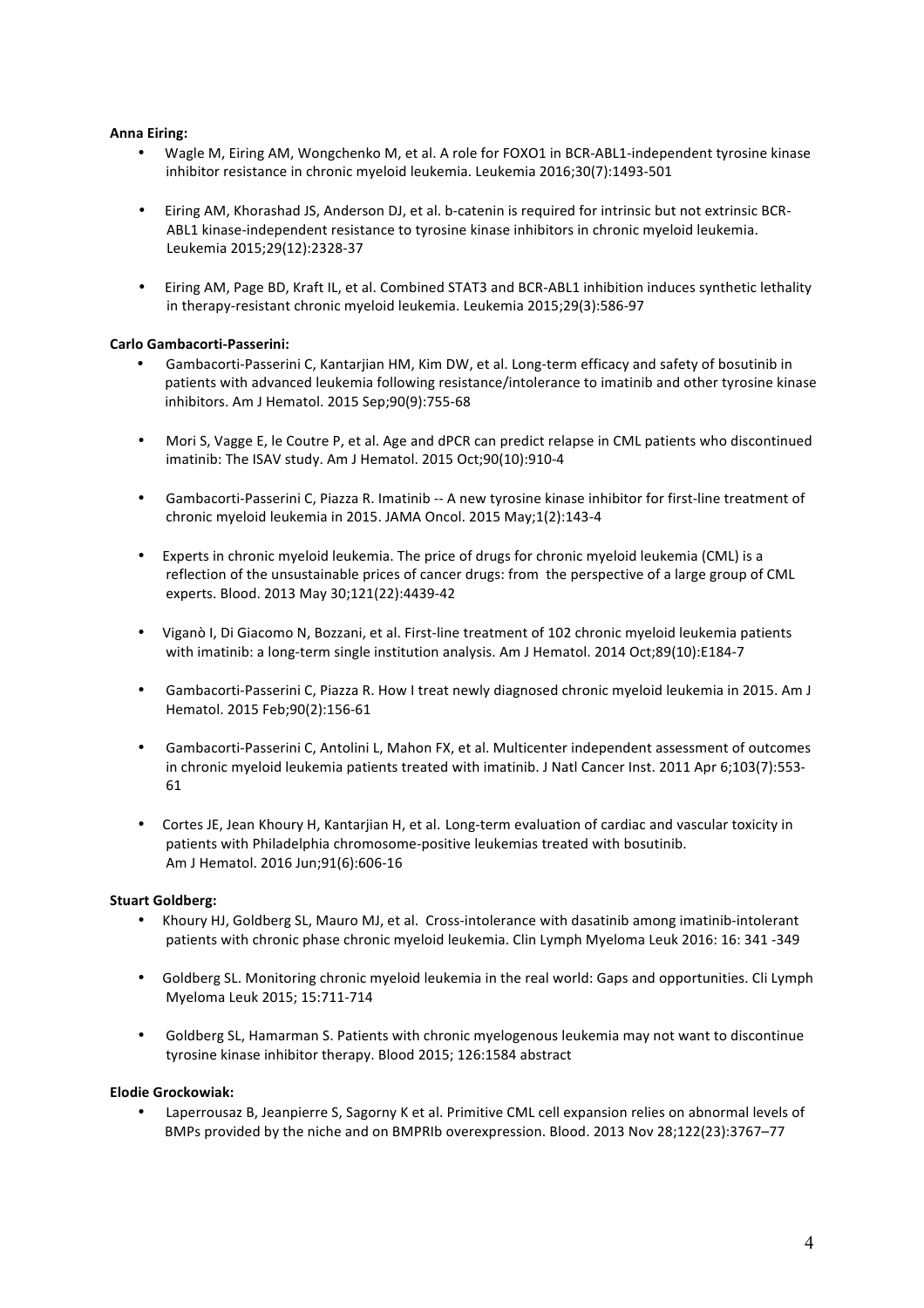## **Anna Eiring:**

- Wagle M, Eiring AM, Wongchenko M, et al. A role for FOXO1 in BCR-ABL1-independent tyrosine kinase inhibitor resistance in chronic myeloid leukemia. Leukemia 2016;30(7):1493-501
- Eiring AM, Khorashad JS, Anderson DJ, et al. b-catenin is required for intrinsic but not extrinsic BCR-ABL1 kinase-independent resistance to tyrosine kinase inhibitors in chronic myeloid leukemia. Leukemia 2015;29(12):2328-37
- Eiring AM, Page BD, Kraft IL, et al. Combined STAT3 and BCR-ABL1 inhibition induces synthetic lethality in therapy-resistant chronic myeloid leukemia. Leukemia 2015;29(3):586-97

### **Carlo Gambacorti-Passerini:**

- Gambacorti-Passerini C, Kantarjian HM, Kim DW, et al. Long-term efficacy and safety of bosutinib in patients with advanced leukemia following resistance/intolerance to imatinib and other tyrosine kinase inhibitors. Am J Hematol. 2015 Sep;90(9):755-68
- Mori S, Vagge E, le Coutre P, et al. Age and dPCR can predict relapse in CML patients who discontinued imatinib: The ISAV study. Am J Hematol. 2015 Oct;90(10):910-4
- Gambacorti-Passerini C, Piazza R. Imatinib -- A new tyrosine kinase inhibitor for first-line treatment of chronic myeloid leukemia in 2015. JAMA Oncol. 2015 May;1(2):143-4
- Experts in chronic myeloid leukemia. The price of drugs for chronic myeloid leukemia (CML) is a reflection of the unsustainable prices of cancer drugs: from the perspective of a large group of CML experts. Blood. 2013 May 30;121(22):4439-42
- Viganò I, Di Giacomo N, Bozzani, et al. First-line treatment of 102 chronic myeloid leukemia patients with imatinib: a long-term single institution analysis. Am J Hematol. 2014 Oct;89(10):E184-7
- Gambacorti-Passerini C, Piazza R. How I treat newly diagnosed chronic myeloid leukemia in 2015. Am J Hematol. 2015 Feb;90(2):156-61
- Gambacorti-Passerini C, Antolini L, Mahon FX, et al. Multicenter independent assessment of outcomes in chronic myeloid leukemia patients treated with imatinib. J Natl Cancer Inst. 2011 Apr 6;103(7):553-61
- Cortes JE, Jean Khoury H, Kantarjian H, et al. Long-term evaluation of cardiac and vascular toxicity in patients with Philadelphia chromosome-positive leukemias treated with bosutinib. Am J Hematol. 2016 Jun;91(6):606-16

#### **Stuart Goldberg:**

- Khoury HJ, Goldberg SL, Mauro MJ, et al. Cross-intolerance with dasatinib among imatinib-intolerant patients with chronic phase chronic myeloid leukemia. Clin Lymph Myeloma Leuk 2016: 16: 341 -349
- Goldberg SL. Monitoring chronic myeloid leukemia in the real world: Gaps and opportunities. Cli Lymph Myeloma Leuk 2015; 15:711-714
- Goldberg SL, Hamarman S. Patients with chronic myelogenous leukemia may not want to discontinue tyrosine kinase inhibitor therapy. Blood 2015; 126:1584 abstract

#### **Elodie Grockowiak:**

Laperrousaz B, Jeanpierre S, Sagorny K et al. Primitive CML cell expansion relies on abnormal levels of BMPs provided by the niche and on BMPRIb overexpression. Blood. 2013 Nov 28;122(23):3767-77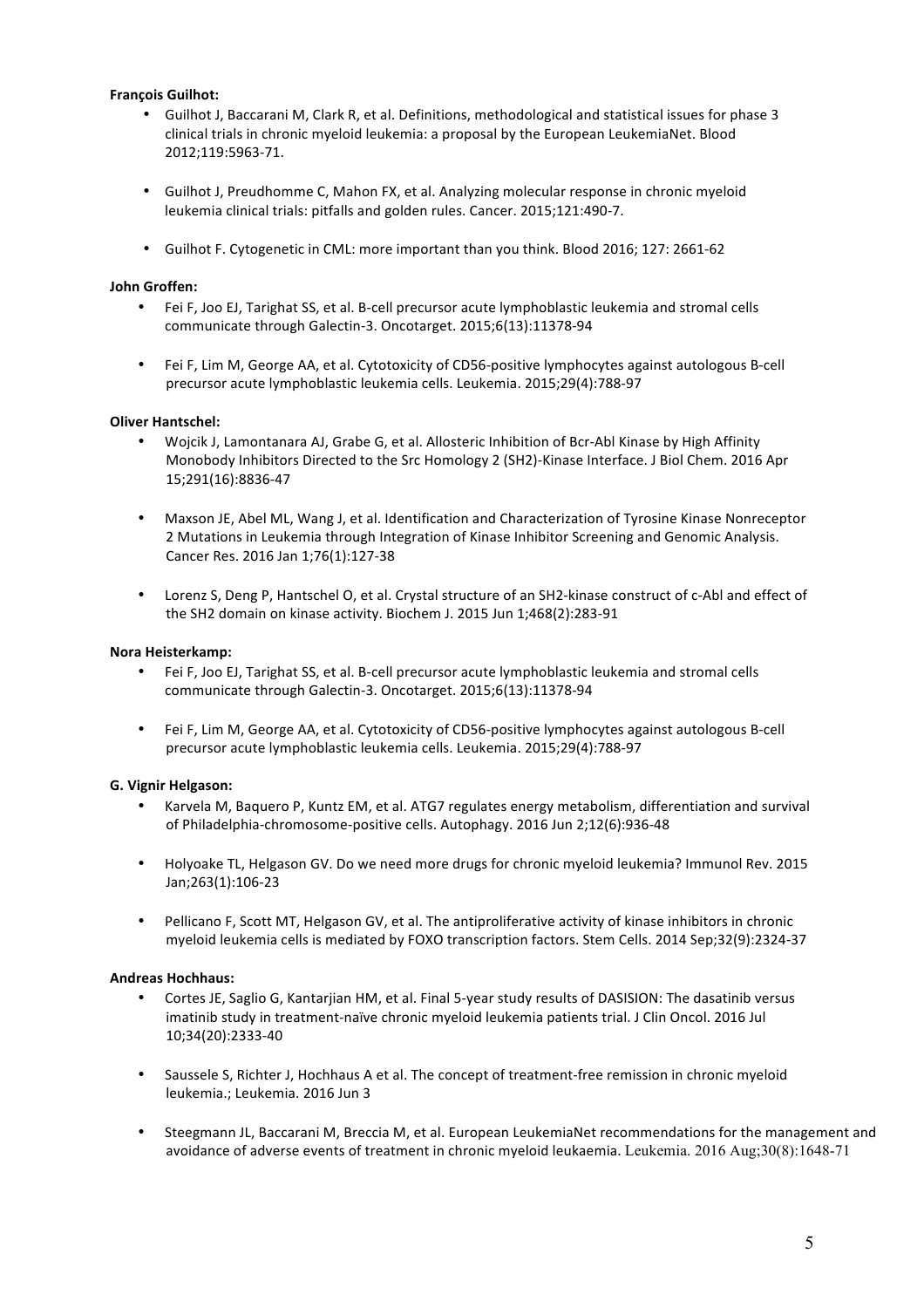# **François Guilhot:**

- Guilhot J, Baccarani M, Clark R, et al. Definitions, methodological and statistical issues for phase 3 clinical trials in chronic myeloid leukemia: a proposal by the European LeukemiaNet. Blood 2012;119:5963-71.
- Guilhot J, Preudhomme C, Mahon FX, et al. Analyzing molecular response in chronic myeloid leukemia clinical trials: pitfalls and golden rules. Cancer. 2015;121:490-7.
- Guilhot F. Cytogenetic in CML: more important than you think. Blood 2016; 127: 2661-62

## **John Groffen:**

- Fei F, Joo EJ, Tarighat SS, et al. B-cell precursor acute lymphoblastic leukemia and stromal cells communicate through Galectin-3. Oncotarget. 2015;6(13):11378-94
- Fei F, Lim M, George AA, et al. Cytotoxicity of CD56-positive lymphocytes against autologous B-cell precursor acute lymphoblastic leukemia cells. Leukemia. 2015;29(4):788-97

## **Oliver Hantschel:**

- Wojcik J, Lamontanara AJ, Grabe G, et al. Allosteric Inhibition of Bcr-Abl Kinase by High Affinity Monobody Inhibitors Directed to the Src Homology 2 (SH2)-Kinase Interface. J Biol Chem. 2016 Apr 15;291(16):8836-47
- Maxson JE, Abel ML, Wang J, et al. Identification and Characterization of Tyrosine Kinase Nonreceptor 2 Mutations in Leukemia through Integration of Kinase Inhibitor Screening and Genomic Analysis. Cancer Res. 2016 Jan 1;76(1):127-38
- Lorenz S, Deng P, Hantschel O, et al. Crystal structure of an SH2-kinase construct of c-Abl and effect of the SH2 domain on kinase activity. Biochem J. 2015 Jun 1;468(2):283-91

### **Nora Heisterkamp:**

- Fei F, Joo EJ, Tarighat SS, et al. B-cell precursor acute lymphoblastic leukemia and stromal cells communicate through Galectin-3. Oncotarget. 2015;6(13):11378-94
- Fei F, Lim M, George AA, et al. Cytotoxicity of CD56-positive lymphocytes against autologous B-cell precursor acute lymphoblastic leukemia cells. Leukemia. 2015;29(4):788-97

## **G. Vignir Helgason:**

- Karvela M, Baquero P, Kuntz EM, et al. ATG7 regulates energy metabolism, differentiation and survival of Philadelphia-chromosome-positive cells. Autophagy. 2016 Jun 2;12(6):936-48
- Holyoake TL, Helgason GV. Do we need more drugs for chronic myeloid leukemia? Immunol Rev. 2015 Jan;263(1):106-23
- Pellicano F, Scott MT, Helgason GV, et al. The antiproliferative activity of kinase inhibitors in chronic myeloid leukemia cells is mediated by FOXO transcription factors. Stem Cells. 2014 Sep;32(9):2324-37

## **Andreas Hochhaus:**

- Cortes JE, Saglio G, Kantariian HM, et al. Final 5-year study results of DASISION: The dasatinib versus imatinib study in treatment-naïve chronic myeloid leukemia patients trial. J Clin Oncol. 2016 Jul 10;34(20):2333-40
- Saussele S, Richter J, Hochhaus A et al. The concept of treatment-free remission in chronic myeloid leukemia.; Leukemia. 2016 Jun 3
- Steegmann JL, Baccarani M, Breccia M, et al. European LeukemiaNet recommendations for the management and avoidance of adverse events of treatment in chronic myeloid leukaemia. Leukemia. 2016 Aug;30(8):1648-71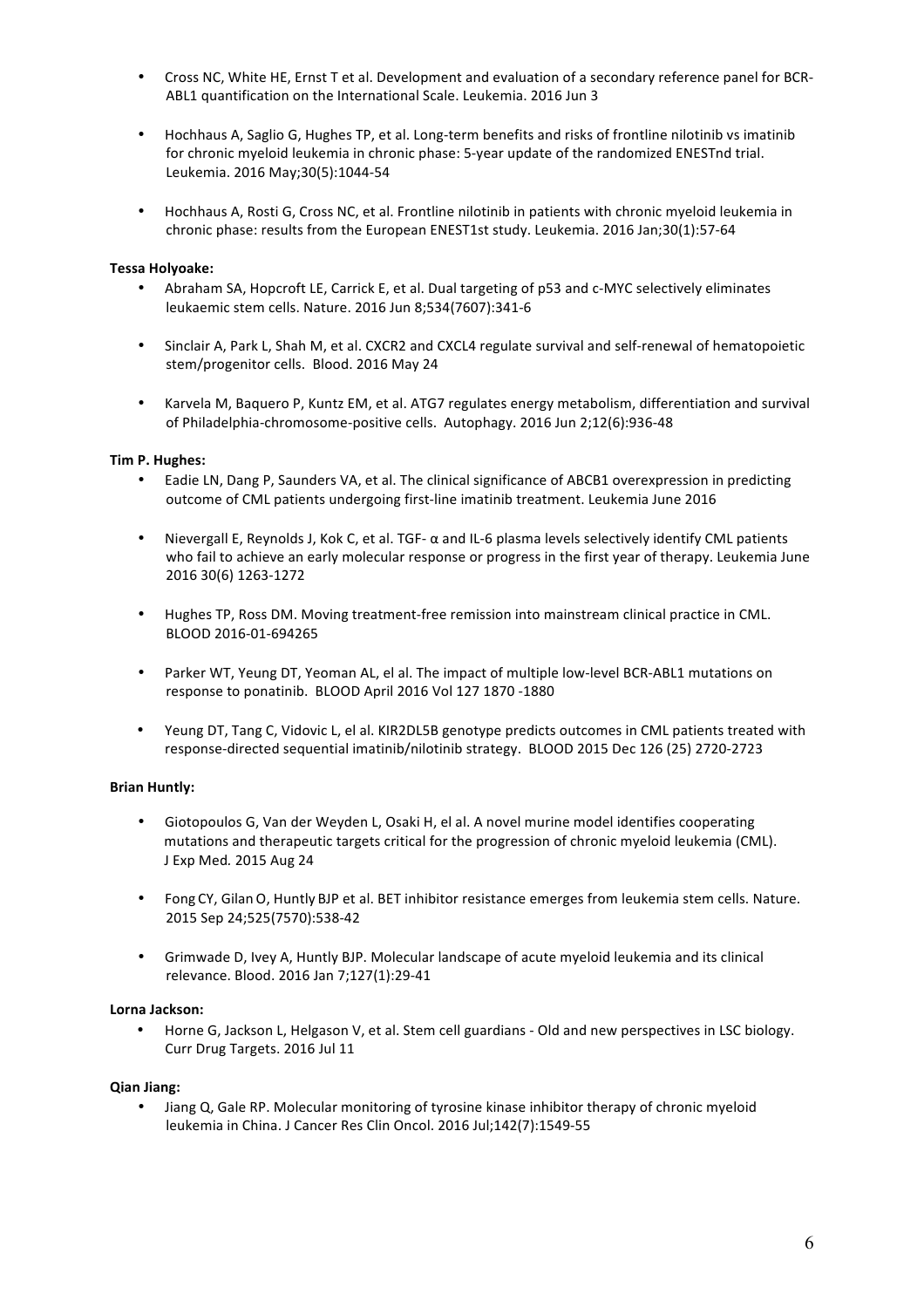- Cross NC, White HE, Ernst T et al. Development and evaluation of a secondary reference panel for BCR-ABL1 quantification on the International Scale. Leukemia. 2016 Jun 3
- Hochhaus A, Saglio G, Hughes TP, et al. Long-term benefits and risks of frontline nilotinib vs imatinib for chronic myeloid leukemia in chronic phase: 5-year update of the randomized ENESTnd trial. Leukemia. 2016 May;30(5):1044-54
- Hochhaus A, Rosti G, Cross NC, et al. Frontline nilotinib in patients with chronic myeloid leukemia in chronic phase: results from the European ENEST1st study. Leukemia. 2016 Jan;30(1):57-64

## **Tessa Holyoake:**

- Abraham SA, Hopcroft LE, Carrick E, et al. Dual targeting of p53 and c-MYC selectively eliminates leukaemic stem cells. Nature. 2016 Jun 8;534(7607):341-6
- Sinclair A, Park L, Shah M, et al. CXCR2 and CXCL4 regulate survival and self-renewal of hematopoietic stem/progenitor cells. Blood. 2016 May 24
- Karvela M, Baquero P, Kuntz EM, et al. ATG7 regulates energy metabolism, differentiation and survival of Philadelphia-chromosome-positive cells. Autophagy. 2016 Jun 2;12(6):936-48

## **Tim P. Hughes:**

- Eadie LN, Dang P, Saunders VA, et al. The clinical significance of ABCB1 overexpression in predicting outcome of CML patients undergoing first-line imatinib treatment. Leukemia June 2016
- Nievergall E, Reynolds J, Kok C, et al. TGF- α and IL-6 plasma levels selectively identify CML patients who fail to achieve an early molecular response or progress in the first year of therapy. Leukemia June 2016 30(6) 1263-1272
- Hughes TP, Ross DM. Moving treatment-free remission into mainstream clinical practice in CML. BLOOD 2016-01-694265
- Parker WT, Yeung DT, Yeoman AL, el al. The impact of multiple low-level BCR-ABL1 mutations on response to ponatinib. BLOOD April 2016 Vol 127 1870 -1880
- Yeung DT, Tang C, Vidovic L, el al. KIR2DL5B genotype predicts outcomes in CML patients treated with response-directed sequential imatinib/nilotinib strategy. BLOOD 2015 Dec 126 (25) 2720-2723

## **Brian Huntly:**

- Giotopoulos G, Van der Weyden L, Osaki H, el al. A novel murine model identifies cooperating mutations and therapeutic targets critical for the progression of chronic myeloid leukemia (CML). J Exp Med*.* 2015 Aug 24
- Fong CY, Gilan O, Huntly BJP et al. BET inhibitor resistance emerges from leukemia stem cells. Nature. 2015 Sep 24;525(7570):538-42
- Grimwade D, Ivey A, Huntly BJP. Molecular landscape of acute myeloid leukemia and its clinical relevance. Blood. 2016 Jan 7;127(1):29-41

## **Lorna Jackson:**

Horne G, Jackson L, Helgason V, et al. Stem cell guardians - Old and new perspectives in LSC biology. Curr Drug Targets. 2016 Jul 11

## **Qian Jiang:**

• Jiang Q, Gale RP. Molecular monitoring of tyrosine kinase inhibitor therapy of chronic myeloid leukemia in China. J Cancer Res Clin Oncol. 2016 Jul;142(7):1549-55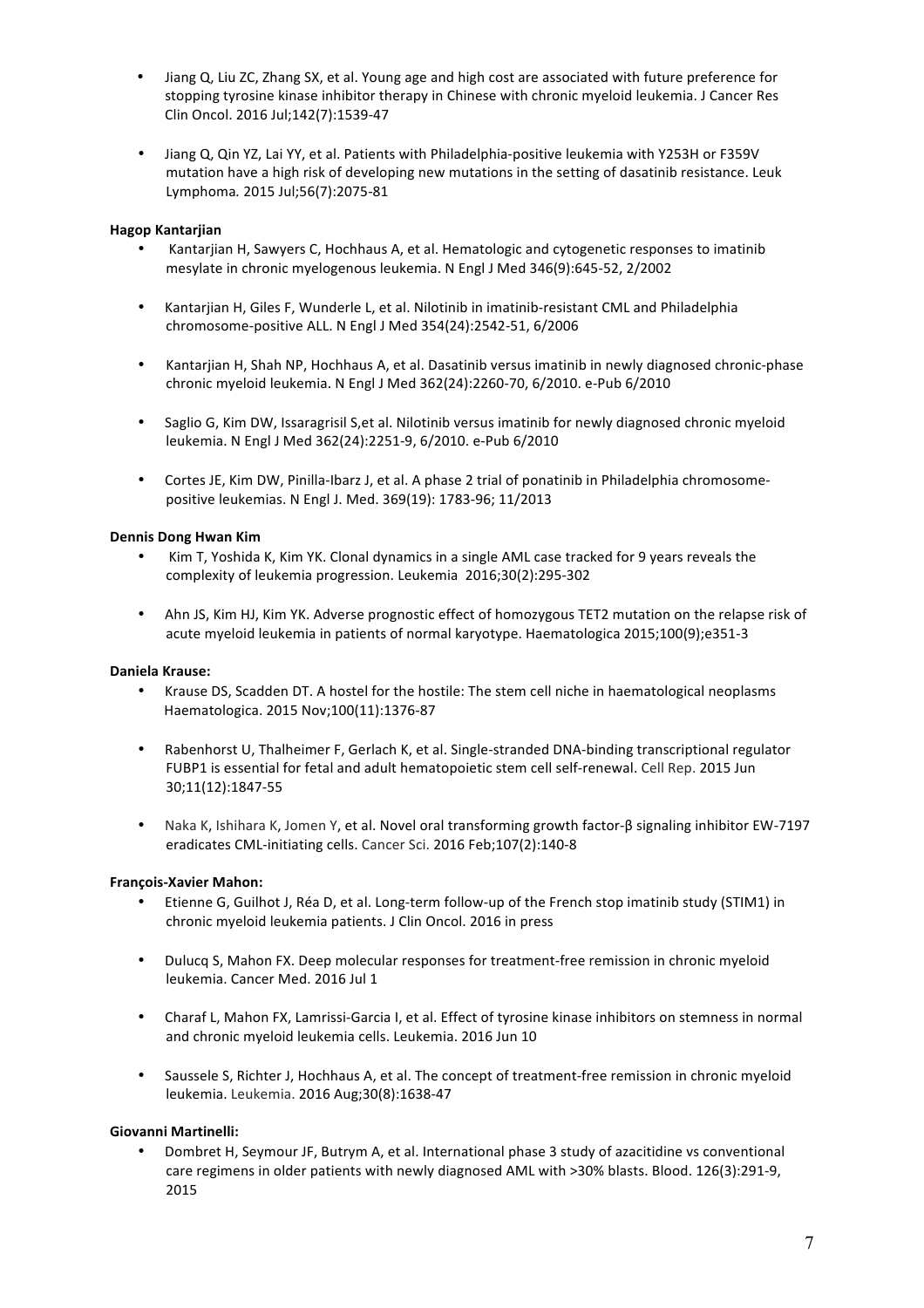- Jiang Q, Liu ZC, Zhang SX, et al. Young age and high cost are associated with future preference for stopping tyrosine kinase inhibitor therapy in Chinese with chronic myeloid leukemia. J Cancer Res Clin Oncol. 2016 Jul;142(7):1539-47
- Jiang Q, Qin YZ, Lai YY, et al. Patients with Philadelphia-positive leukemia with Y253H or F359V mutation have a high risk of developing new mutations in the setting of dasatinib resistance. Leuk Lymphoma*.* 2015 Jul;56(7):2075-81

# **Hagop Kantarjian**

- Kantariian H, Sawyers C, Hochhaus A, et al. Hematologic and cytogenetic responses to imatinib mesylate in chronic myelogenous leukemia. N Engl J Med 346(9):645-52, 2/2002
- Kantarjian H, Giles F, Wunderle L, et al. Nilotinib in imatinib-resistant CML and Philadelphia chromosome-positive ALL. N Engl J Med 354(24):2542-51, 6/2006
- Kantarjian H, Shah NP, Hochhaus A, et al. Dasatinib versus imatinib in newly diagnosed chronic-phase chronic myeloid leukemia. N Engl J Med 362(24):2260-70, 6/2010. e-Pub 6/2010
- Saglio G, Kim DW, Issaragrisil S, et al. Nilotinib versus imatinib for newly diagnosed chronic myeloid leukemia. N Engl J Med 362(24):2251-9, 6/2010. e-Pub 6/2010
- Cortes JE, Kim DW, Pinilla-Ibarz J, et al. A phase 2 trial of ponatinib in Philadelphia chromosomepositive leukemias. N Engl J. Med. 369(19): 1783-96; 11/2013

## **Dennis Dong Hwan Kim**

- Kim T, Yoshida K, Kim YK. Clonal dynamics in a single AML case tracked for 9 years reveals the complexity of leukemia progression. Leukemia 2016;30(2):295-302
- Ahn JS, Kim HJ, Kim YK. Adverse prognostic effect of homozygous TET2 mutation on the relapse risk of acute myeloid leukemia in patients of normal karyotype. Haematologica 2015;100(9);e351-3

## **Daniela Krause:**

- Krause DS, Scadden DT. A hostel for the hostile: The stem cell niche in haematological neoplasms Haematologica. 2015 Nov;100(11):1376-87
- Rabenhorst U, Thalheimer F, Gerlach K, et al. Single-stranded DNA-binding transcriptional regulator FUBP1 is essential for fetal and adult hematopoietic stem cell self-renewal. Cell Rep. 2015 Jun 30;11(12):1847-55
- Naka K, Ishihara K, Jomen Y, et al. Novel oral transforming growth factor-β signaling inhibitor EW-7197 eradicates CML-initiating cells. Cancer Sci. 2016 Feb;107(2):140-8

#### **François-Xavier Mahon:**

- Etienne G, Guilhot J, Réa D, et al. Long-term follow-up of the French stop imatinib study (STIM1) in chronic myeloid leukemia patients. J Clin Oncol. 2016 in press
- Dulucq S, Mahon FX. Deep molecular responses for treatment-free remission in chronic myeloid leukemia. Cancer Med. 2016 Jul 1
- Charaf L, Mahon FX, Lamrissi-Garcia I, et al. Effect of tyrosine kinase inhibitors on stemness in normal and chronic myeloid leukemia cells. Leukemia. 2016 Jun 10
- Saussele S, Richter J, Hochhaus A, et al. The concept of treatment-free remission in chronic myeloid leukemia. Leukemia. 2016 Aug;30(8):1638-47

## **Giovanni Martinelli:**

Dombret H, Seymour JF, Butrym A, et al. International phase 3 study of azacitidine vs conventional care regimens in older patients with newly diagnosed AML with >30% blasts. Blood. 126(3):291-9, 2015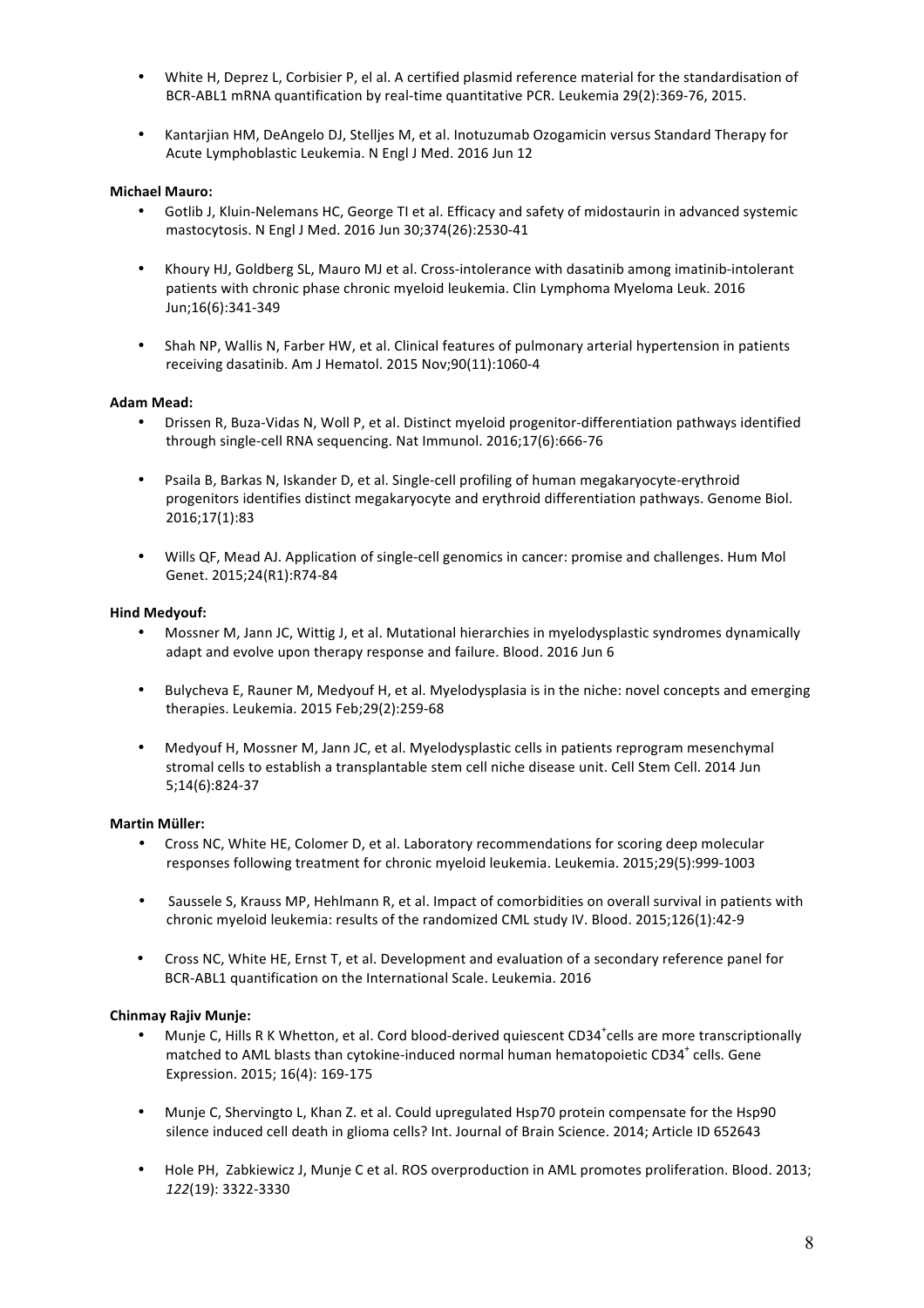- White H, Deprez L, Corbisier P, el al. A certified plasmid reference material for the standardisation of BCR-ABL1 mRNA quantification by real-time quantitative PCR. Leukemia 29(2):369-76, 2015.
- Kantariian HM, DeAngelo DJ, Stellies M, et al. Inotuzumab Ozogamicin versus Standard Therapy for Acute Lymphoblastic Leukemia. N Engl J Med. 2016 Jun 12

### **Michael Mauro:**

- Gotlib J, Kluin-Nelemans HC, George TI et al. Efficacy and safety of midostaurin in advanced systemic mastocytosis. N Engl J Med. 2016 Jun 30;374(26):2530-41
- Khoury HJ, Goldberg SL, Mauro MJ et al. Cross-intolerance with dasatinib among imatinib-intolerant patients with chronic phase chronic myeloid leukemia. Clin Lymphoma Myeloma Leuk. 2016 Jun;16(6):341-349
- Shah NP, Wallis N, Farber HW, et al. Clinical features of pulmonary arterial hypertension in patients receiving dasatinib. Am J Hematol. 2015 Nov;90(11):1060-4

#### **Adam Mead:**

- Drissen R. Buza-Vidas N. Woll P. et al. Distinct myeloid progenitor-differentiation pathways identified through single-cell RNA sequencing. Nat Immunol. 2016;17(6):666-76
- Psaila B, Barkas N, Iskander D, et al. Single-cell profiling of human megakaryocyte-erythroid progenitors identifies distinct megakaryocyte and erythroid differentiation pathways. Genome Biol. 2016;17(1):83
- Wills QF, Mead AJ. Application of single-cell genomics in cancer: promise and challenges. Hum Mol Genet. 2015;24(R1):R74-84

#### **Hind Medyouf:**

- Mossner M, Jann JC, Wittig J, et al. Mutational hierarchies in myelodysplastic syndromes dynamically adapt and evolve upon therapy response and failure. Blood. 2016 Jun 6
- Bulycheva E, Rauner M, Medyouf H, et al. Myelodysplasia is in the niche: novel concepts and emerging therapies. Leukemia. 2015 Feb;29(2):259-68
- Medyouf H, Mossner M, Jann JC, et al. Myelodysplastic cells in patients reprogram mesenchymal stromal cells to establish a transplantable stem cell niche disease unit. Cell Stem Cell. 2014 Jun 5;14(6):824-37

#### **Martin Müller:**

- Cross NC, White HE, Colomer D, et al. Laboratory recommendations for scoring deep molecular responses following treatment for chronic myeloid leukemia. Leukemia. 2015;29(5):999-1003
- Saussele S, Krauss MP, Hehlmann R, et al. Impact of comorbidities on overall survival in patients with chronic myeloid leukemia: results of the randomized CML study IV. Blood. 2015;126(1):42-9
- Cross NC, White HE, Ernst T, et al. Development and evaluation of a secondary reference panel for BCR-ABL1 quantification on the International Scale. Leukemia. 2016

#### **Chinmay Rajiv Munje:**

- Munje C, Hills R K Whetton, et al. Cord blood-derived quiescent CD34<sup>+</sup>cells are more transcriptionally matched to AML blasts than cytokine-induced normal human hematopoietic CD34 $^+$  cells. Gene Expression. 2015; 16(4): 169-175
- Munje C, Shervingto L, Khan Z. et al. Could upregulated Hsp70 protein compensate for the Hsp90 silence induced cell death in glioma cells? Int. Journal of Brain Science. 2014; Article ID 652643
- Hole PH, Zabkiewicz J, Munje C et al. ROS overproduction in AML promotes proliferation. Blood. 2013; *122*(19): 3322-3330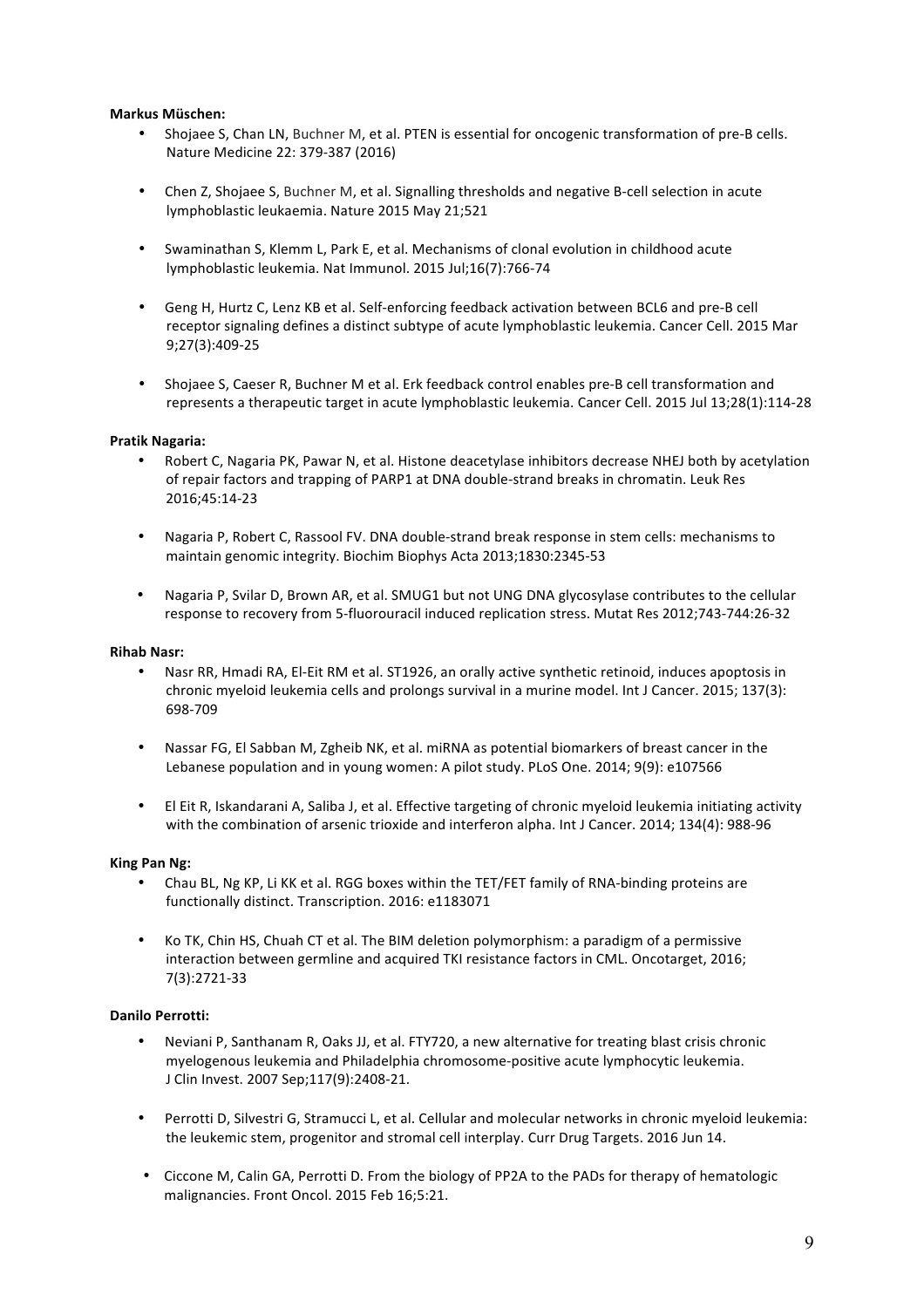## **Markus Müschen:**

- Shojaee S, Chan LN, Buchner M, et al. PTEN is essential for oncogenic transformation of pre-B cells. Nature Medicine 22: 379-387 (2016)
- Chen Z, Shojaee S, Buchner M, et al. Signalling thresholds and negative B-cell selection in acute lymphoblastic leukaemia. Nature 2015 May 21;521
- Swaminathan S, Klemm L, Park E, et al. Mechanisms of clonal evolution in childhood acute lymphoblastic leukemia. Nat Immunol. 2015 Jul;16(7):766-74
- Geng H, Hurtz C, Lenz KB et al. Self-enforcing feedback activation between BCL6 and pre-B cell receptor signaling defines a distinct subtype of acute lymphoblastic leukemia. Cancer Cell. 2015 Mar 9;27(3):409-25
- Shojaee S, Caeser R, Buchner M et al. Erk feedback control enables pre-B cell transformation and represents a therapeutic target in acute lymphoblastic leukemia. Cancer Cell. 2015 Jul 13;28(1):114-28

### **Pratik Nagaria:**

- Robert C, Nagaria PK, Pawar N, et al. Histone deacetylase inhibitors decrease NHEJ both by acetylation of repair factors and trapping of PARP1 at DNA double-strand breaks in chromatin. Leuk Res 2016;45:14-23
- Nagaria P, Robert C, Rassool FV. DNA double-strand break response in stem cells: mechanisms to maintain genomic integrity. Biochim Biophys Acta 2013;1830:2345-53
- Nagaria P, Svilar D, Brown AR, et al. SMUG1 but not UNG DNA glycosylase contributes to the cellular response to recovery from 5-fluorouracil induced replication stress. Mutat Res 2012;743-744:26-32

### **Rihab Nasr:**

- Nasr RR, Hmadi RA, El-Eit RM et al. ST1926, an orally active synthetic retinoid, induces apoptosis in chronic myeloid leukemia cells and prolongs survival in a murine model. Int J Cancer. 2015; 137(3): 698-709
- Nassar FG, El Sabban M, Zgheib NK, et al. miRNA as potential biomarkers of breast cancer in the Lebanese population and in young women: A pilot study. PLoS One. 2014; 9(9): e107566
- El Eit R, Iskandarani A, Saliba J, et al. Effective targeting of chronic myeloid leukemia initiating activity with the combination of arsenic trioxide and interferon alpha. Int J Cancer. 2014; 134(4): 988-96

#### **King Pan Ng:**

- Chau BL, Ng KP, Li KK et al. RGG boxes within the TET/FET family of RNA-binding proteins are functionally distinct. Transcription. 2016: e1183071
- Ko TK, Chin HS, Chuah CT et al. The BIM deletion polymorphism: a paradigm of a permissive interaction between germline and acquired TKI resistance factors in CML. Oncotarget, 2016; 7(3):2721-33

#### **Danilo Perrotti:**

- Neviani P, Santhanam R, Oaks JJ, et al. FTY720, a new alternative for treating blast crisis chronic myelogenous leukemia and Philadelphia chromosome-positive acute lymphocytic leukemia. J Clin Invest. 2007 Sep;117(9):2408-21.
- Perrotti D, Silvestri G, Stramucci L, et al. Cellular and molecular networks in chronic myeloid leukemia: the leukemic stem, progenitor and stromal cell interplay. Curr Drug Targets. 2016 Jun 14.
- Ciccone M, Calin GA, Perrotti D. From the biology of PP2A to the PADs for therapy of hematologic malignancies. Front Oncol. 2015 Feb 16;5:21.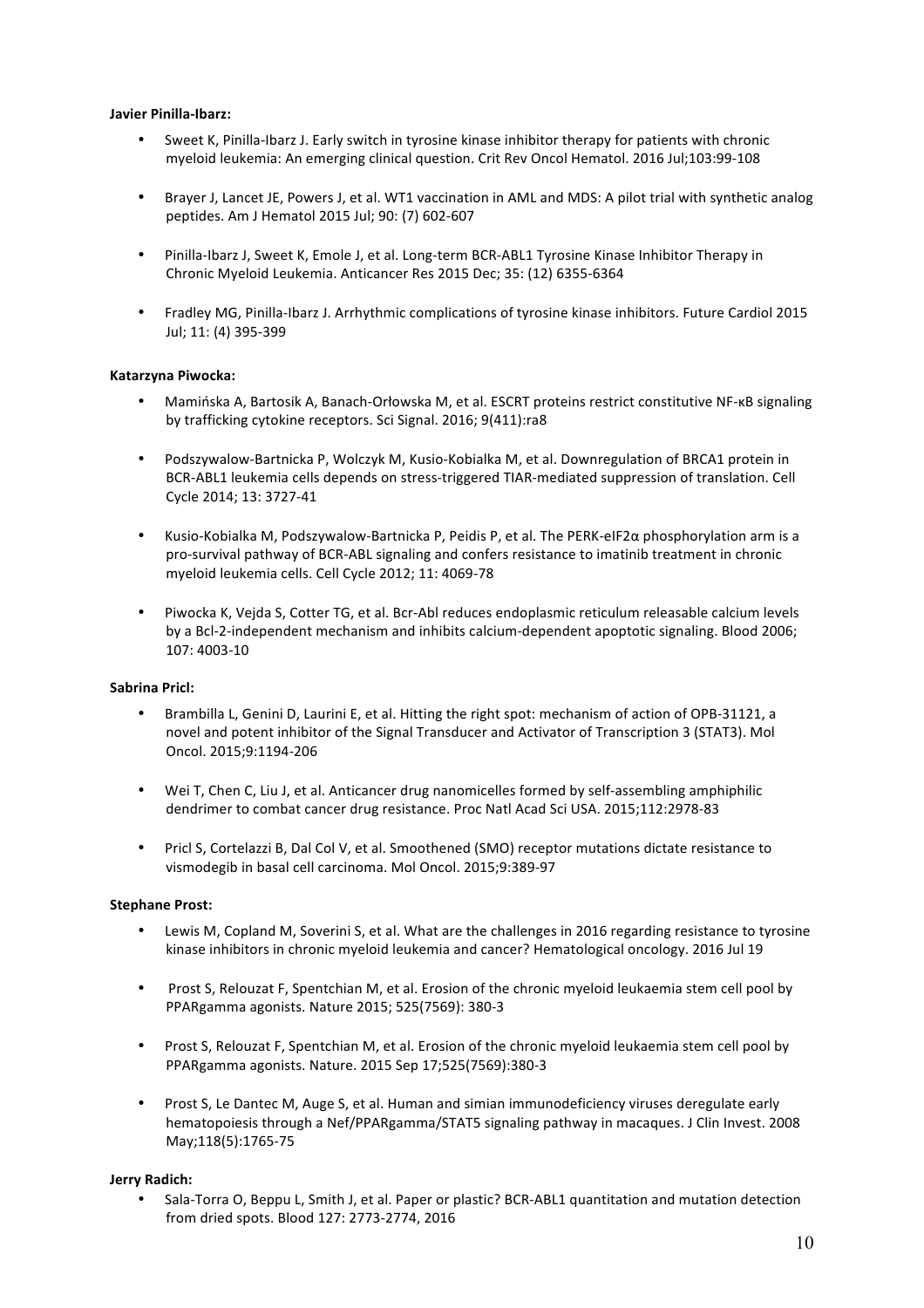## **Javier Pinilla-Ibarz:**

- Sweet K, Pinilla-Ibarz J. Early switch in tyrosine kinase inhibitor therapy for patients with chronic myeloid leukemia: An emerging clinical question. Crit Rev Oncol Hematol. 2016 Jul;103:99-108
- Brayer J, Lancet JE, Powers J, et al. WT1 vaccination in AML and MDS: A pilot trial with synthetic analog peptides. Am J Hematol 2015 Jul; 90: (7) 602-607
- Pinilla-Ibarz J, Sweet K, Emole J, et al. Long-term BCR-ABL1 Tyrosine Kinase Inhibitor Therapy in Chronic Myeloid Leukemia. Anticancer Res 2015 Dec; 35: (12) 6355-6364
- Fradley MG, Pinilla-Ibarz J. Arrhythmic complications of tyrosine kinase inhibitors. Future Cardiol 2015 Jul; 11: (4) 395-399

# **Katarzyna Piwocka:**

- Mamińska A, Bartosik A, Banach-Orłowska M, et al. ESCRT proteins restrict constitutive NF-κB signaling by trafficking cytokine receptors. Sci Signal. 2016; 9(411):ra8
- Podszywalow-Bartnicka P, Wolczyk M, Kusio-Kobialka M, et al. Downregulation of BRCA1 protein in BCR-ABL1 leukemia cells depends on stress-triggered TIAR-mediated suppression of translation. Cell Cycle 2014; 13: 3727-41
- Kusio-Kobialka M, Podszywalow-Bartnicka P, Peidis P, et al. The PERK-eIF2α phosphorylation arm is a pro-survival pathway of BCR-ABL signaling and confers resistance to imatinib treatment in chronic myeloid leukemia cells. Cell Cycle 2012; 11: 4069-78
- Piwocka K, Vejda S, Cotter TG, et al. Bcr-Abl reduces endoplasmic reticulum releasable calcium levels by a Bcl-2-independent mechanism and inhibits calcium-dependent apoptotic signaling. Blood 2006; 107: 4003-10

## **Sabrina Pricl:**

- Brambilla L, Genini D, Laurini E, et al. Hitting the right spot: mechanism of action of OPB-31121, a novel and potent inhibitor of the Signal Transducer and Activator of Transcription 3 (STAT3). Mol Oncol. 2015;9:1194-206
- Wei T, Chen C, Liu J, et al. Anticancer drug nanomicelles formed by self-assembling amphiphilic dendrimer to combat cancer drug resistance. Proc Natl Acad Sci USA. 2015;112:2978-83
- Pricl S, Cortelazzi B, Dal Col V, et al. Smoothened (SMO) receptor mutations dictate resistance to vismodegib in basal cell carcinoma. Mol Oncol. 2015;9:389-97

## **Stephane Prost:**

- Lewis M, Copland M, Soverini S, et al. What are the challenges in 2016 regarding resistance to tyrosine kinase inhibitors in chronic myeloid leukemia and cancer? Hematological oncology. 2016 Jul 19
- Prost S, Relouzat F, Spentchian M, et al. Erosion of the chronic myeloid leukaemia stem cell pool by PPARgamma agonists. Nature 2015; 525(7569): 380-3
- Prost S, Relouzat F, Spentchian M, et al. Erosion of the chronic myeloid leukaemia stem cell pool by PPARgamma agonists. Nature. 2015 Sep 17;525(7569):380-3
- Prost S, Le Dantec M, Auge S, et al. Human and simian immunodeficiency viruses deregulate early hematopoiesis through a Nef/PPARgamma/STAT5 signaling pathway in macaques. J Clin Invest. 2008 May;118(5):1765-75

## **Jerry Radich:**

• Sala-Torra O, Beppu L, Smith J, et al. Paper or plastic? BCR-ABL1 quantitation and mutation detection from dried spots. Blood 127: 2773-2774, 2016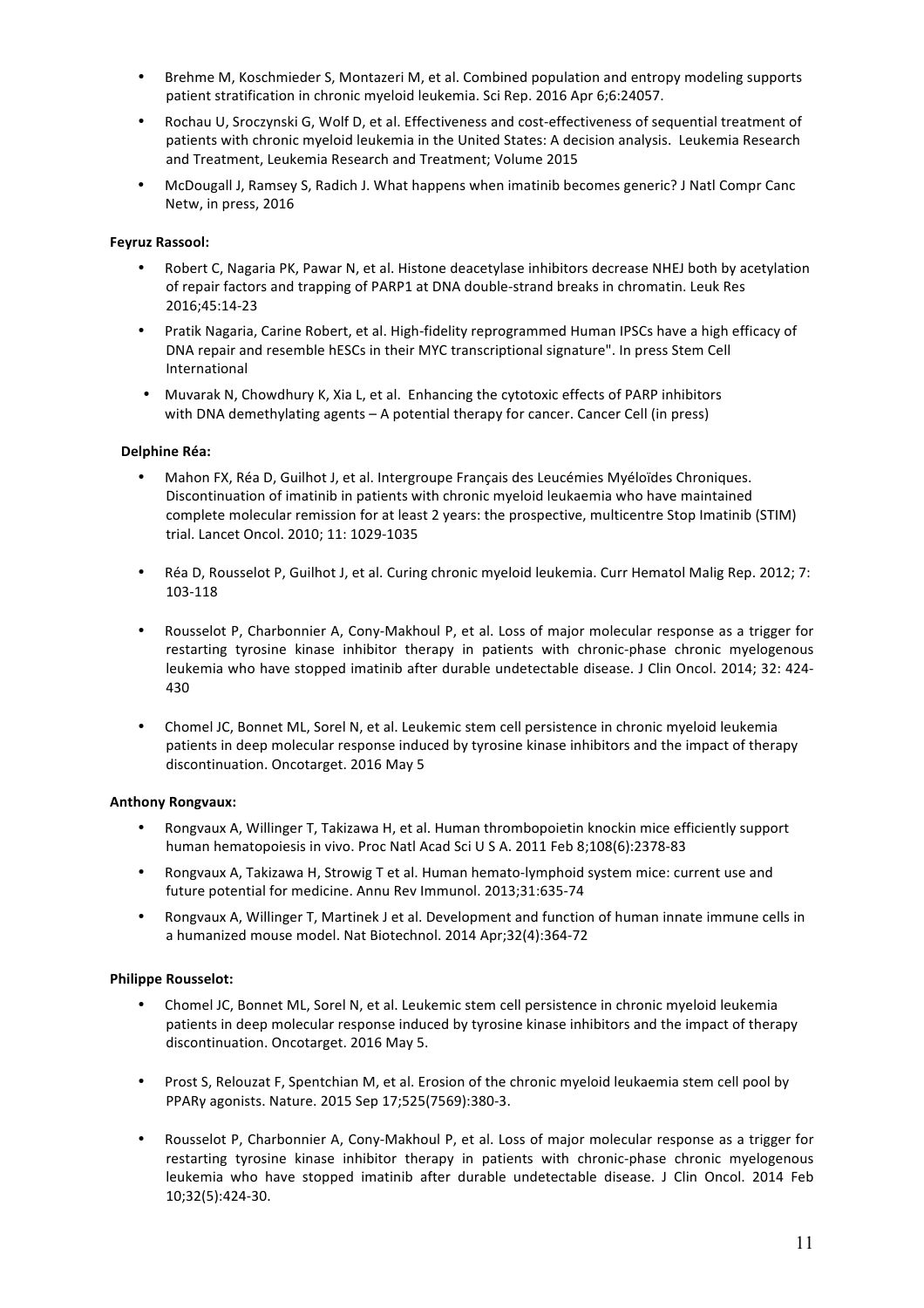- Brehme M, Koschmieder S, Montazeri M, et al. Combined population and entropy modeling supports patient stratification in chronic myeloid leukemia. Sci Rep. 2016 Apr 6;6:24057.
- Rochau U, Sroczynski G, Wolf D, et al. Effectiveness and cost-effectiveness of sequential treatment of patients with chronic myeloid leukemia in the United States: A decision analysis. Leukemia Research and Treatment, Leukemia Research and Treatment; Volume 2015
- McDougall J, Ramsey S, Radich J. What happens when imatinib becomes generic? J Natl Compr Canc Netw, in press, 2016

# **Feyruz Rassool:**

- Robert C, Nagaria PK, Pawar N, et al. Histone deacetylase inhibitors decrease NHEJ both by acetylation of repair factors and trapping of PARP1 at DNA double-strand breaks in chromatin. Leuk Res 2016;45:14-23
- Pratik Nagaria, Carine Robert, et al. High-fidelity reprogrammed Human IPSCs have a high efficacy of DNA repair and resemble hESCs in their MYC transcriptional signature". In press Stem Cell International
- Muvarak N, Chowdhury K, Xia L, et al. Enhancing the cytotoxic effects of PARP inhibitors with DNA demethylating agents – A potential therapy for cancer. Cancer Cell (in press)

## **Delphine Réa:**

- Mahon FX, Réa D, Guilhot J, et al. Intergroupe Français des Leucémies Myéloïdes Chroniques. Discontinuation of imatinib in patients with chronic myeloid leukaemia who have maintained complete molecular remission for at least 2 years: the prospective, multicentre Stop Imatinib (STIM) trial. Lancet Oncol. 2010; 11: 1029-1035
- Réa D, Rousselot P, Guilhot J, et al. Curing chronic myeloid leukemia. Curr Hematol Malig Rep. 2012; 7: 103-118
- Rousselot P, Charbonnier A, Cony-Makhoul P, et al. Loss of major molecular response as a trigger for restarting tyrosine kinase inhibitor therapy in patients with chronic-phase chronic myelogenous leukemia who have stopped imatinib after durable undetectable disease. J Clin Oncol. 2014; 32: 424-430
- Chomel JC, Bonnet ML, Sorel N, et al. Leukemic stem cell persistence in chronic myeloid leukemia patients in deep molecular response induced by tyrosine kinase inhibitors and the impact of therapy discontinuation. Oncotarget. 2016 May 5

## **Anthony Rongvaux:**

- Rongvaux A, Willinger T, Takizawa H, et al. Human thrombopoietin knockin mice efficiently support human hematopoiesis in vivo. Proc Natl Acad Sci U S A. 2011 Feb 8;108(6):2378-83
- Rongvaux A, Takizawa H, Strowig T et al. Human hemato-lymphoid system mice: current use and future potential for medicine. Annu Rev Immunol. 2013;31:635-74
- Rongvaux A, Willinger T, Martinek J et al. Development and function of human innate immune cells in a humanized mouse model. Nat Biotechnol. 2014 Apr;32(4):364-72

## **Philippe Rousselot:**

- Chomel JC, Bonnet ML, Sorel N, et al. Leukemic stem cell persistence in chronic myeloid leukemia patients in deep molecular response induced by tyrosine kinase inhibitors and the impact of therapy discontinuation. Oncotarget. 2016 May 5.
- Prost S, Relouzat F, Spentchian M, et al. Erosion of the chronic myeloid leukaemia stem cell pool by PPARγ agonists. Nature. 2015 Sep 17;525(7569):380-3.
- Rousselot P, Charbonnier A, Cony-Makhoul P, et al. Loss of major molecular response as a trigger for restarting tyrosine kinase inhibitor therapy in patients with chronic-phase chronic myelogenous leukemia who have stopped imatinib after durable undetectable disease. J Clin Oncol. 2014 Feb 10;32(5):424-30.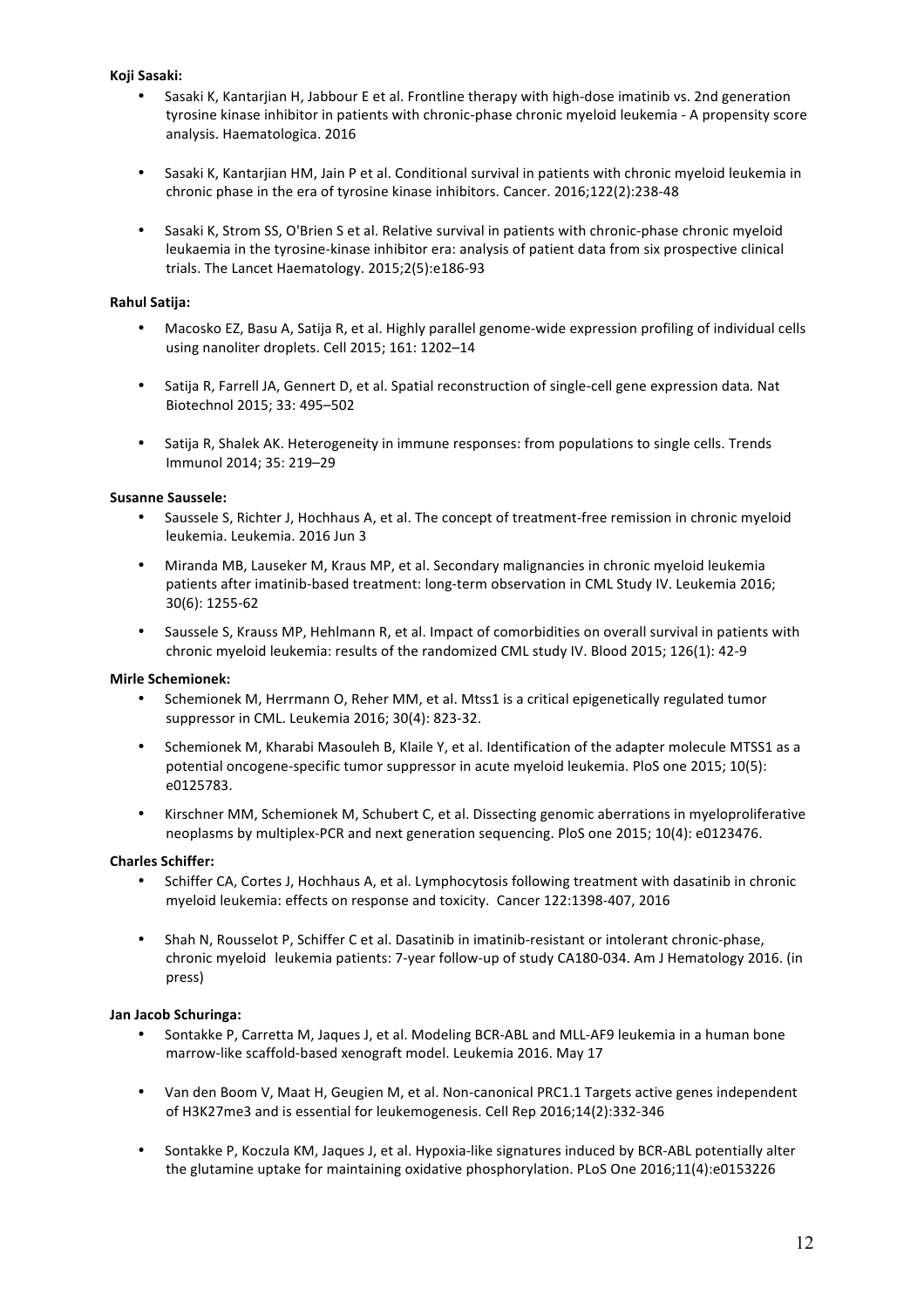# **Koji Sasaki:**

- Sasaki K, Kantarjian H, Jabbour E et al. Frontline therapy with high-dose imatinib vs. 2nd generation tyrosine kinase inhibitor in patients with chronic-phase chronic myeloid leukemia - A propensity score analysis. Haematologica. 2016
- Sasaki K, Kantarjian HM, Jain P et al. Conditional survival in patients with chronic myeloid leukemia in chronic phase in the era of tyrosine kinase inhibitors. Cancer. 2016;122(2):238-48
- Sasaki K, Strom SS, O'Brien S et al. Relative survival in patients with chronic-phase chronic myeloid leukaemia in the tyrosine-kinase inhibitor era: analysis of patient data from six prospective clinical trials. The Lancet Haematology. 2015;2(5):e186-93

## **Rahul Satija:**

- Macosko EZ, Basu A, Satija R, et al. Highly parallel genome-wide expression profiling of individual cells using nanoliter droplets. Cell 2015; 161: 1202-14
- Satija R, Farrell JA, Gennert D, et al. Spatial reconstruction of single-cell gene expression data. Nat Biotechnol 2015; 33: 495-502
- Satija R, Shalek AK. Heterogeneity in immune responses: from populations to single cells. Trends Immunol 2014; 35: 219–29

## **Susanne Saussele:**

- Saussele S, Richter J, Hochhaus A, et al. The concept of treatment-free remission in chronic myeloid leukemia. Leukemia. 2016 Jun 3
- Miranda MB, Lauseker M, Kraus MP, et al. Secondary malignancies in chronic myeloid leukemia patients after imatinib-based treatment: long-term observation in CML Study IV. Leukemia 2016; 30(6): 1255-62
- Saussele S, Krauss MP, Hehlmann R, et al. Impact of comorbidities on overall survival in patients with chronic myeloid leukemia: results of the randomized CML study IV. Blood 2015; 126(1): 42-9

## **Mirle Schemionek:**

- Schemionek M, Herrmann O, Reher MM, et al. Mtss1 is a critical epigenetically regulated tumor suppressor in CML. Leukemia 2016; 30(4): 823-32.
- Schemionek M, Kharabi Masouleh B, Klaile Y, et al. Identification of the adapter molecule MTSS1 as a potential oncogene-specific tumor suppressor in acute myeloid leukemia. PloS one 2015; 10(5): e0125783.
- Kirschner MM, Schemionek M, Schubert C, et al. Dissecting genomic aberrations in myeloproliferative neoplasms by multiplex-PCR and next generation sequencing. PloS one 2015; 10(4): e0123476.

## **Charles Schiffer:**

- Schiffer CA, Cortes J, Hochhaus A, et al. Lymphocytosis following treatment with dasatinib in chronic myeloid leukemia: effects on response and toxicity. Cancer 122:1398-407, 2016
- Shah N, Rousselot P, Schiffer C et al. Dasatinib in imatinib-resistant or intolerant chronic-phase, chronic myeloid leukemia patients: 7-year follow-up of study CA180-034. Am J Hematology 2016. (in press)

## **Jan Jacob Schuringa:**

- Sontakke P, Carretta M, Jaques J, et al. Modeling BCR-ABL and MLL-AF9 leukemia in a human bone marrow-like scaffold-based xenograft model. Leukemia 2016. May 17
- Van den Boom V, Maat H, Geugien M, et al. Non-canonical PRC1.1 Targets active genes independent of H3K27me3 and is essential for leukemogenesis. Cell Rep 2016;14(2):332-346
- Sontakke P, Koczula KM, Jaques J, et al. Hypoxia-like signatures induced by BCR-ABL potentially alter the glutamine uptake for maintaining oxidative phosphorylation. PLoS One 2016;11(4):e0153226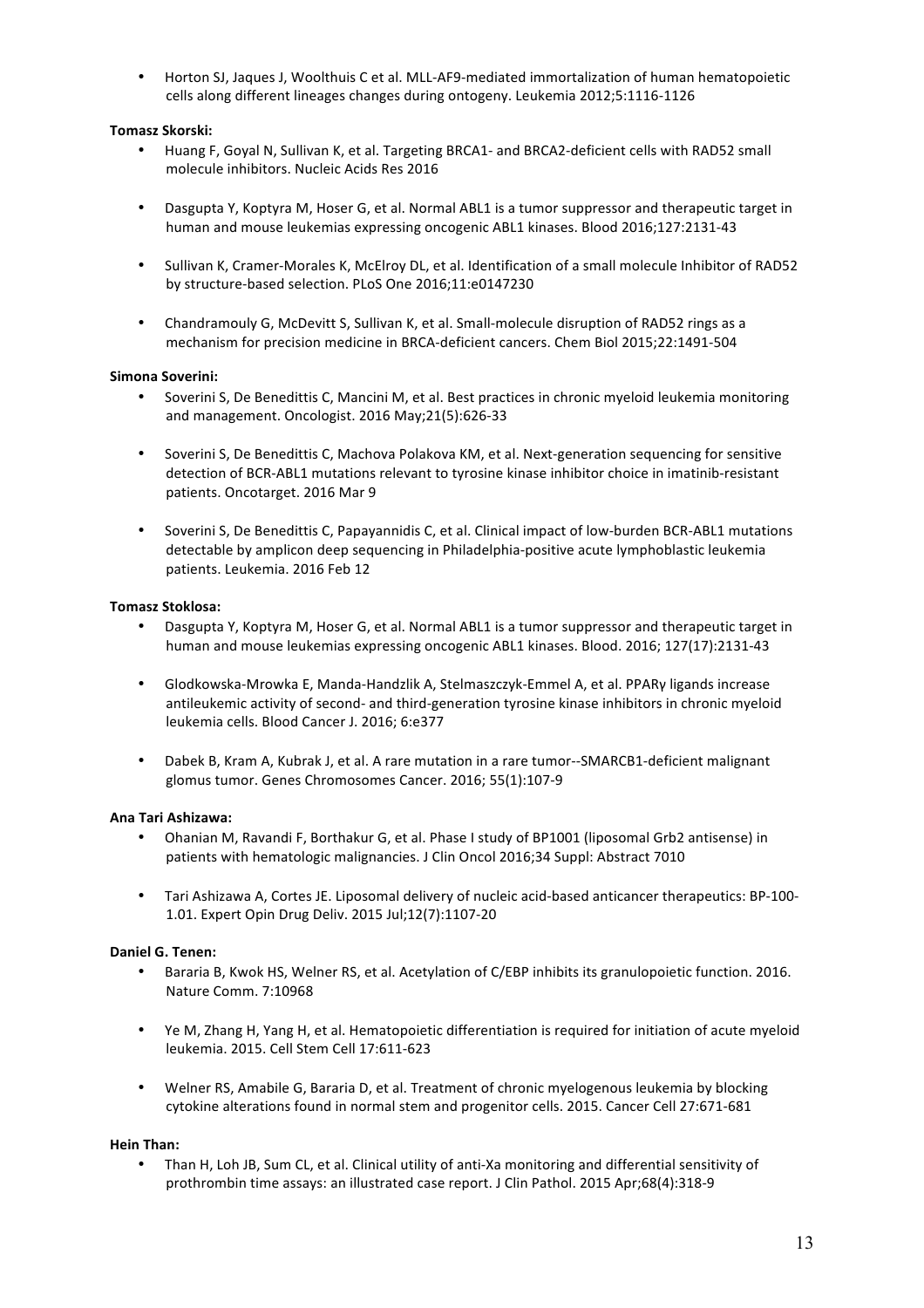Horton SJ, Jaques J, Woolthuis C et al. MLL-AF9-mediated immortalization of human hematopoietic cells along different lineages changes during ontogeny. Leukemia 2012;5:1116-1126

# **Tomasz Skorski:**

- Huang F, Goyal N, Sullivan K, et al. Targeting BRCA1- and BRCA2-deficient cells with RAD52 small molecule inhibitors. Nucleic Acids Res 2016
- Dasgupta Y, Koptyra M, Hoser G, et al. Normal ABL1 is a tumor suppressor and therapeutic target in human and mouse leukemias expressing oncogenic ABL1 kinases. Blood 2016;127:2131-43
- Sullivan K, Cramer-Morales K, McElroy DL, et al. Identification of a small molecule Inhibitor of RAD52 by structure-based selection. PLoS One 2016;11:e0147230
- Chandramouly G, McDevitt S, Sullivan K, et al. Small-molecule disruption of RAD52 rings as a mechanism for precision medicine in BRCA-deficient cancers. Chem Biol 2015;22:1491-504

## **Simona Soverini:**

- Soverini S, De Benedittis C, Mancini M, et al. Best practices in chronic myeloid leukemia monitoring and management. Oncologist. 2016 May;21(5):626-33
- Soverini S, De Benedittis C, Machova Polakova KM, et al. Next-generation sequencing for sensitive detection of BCR-ABL1 mutations relevant to tyrosine kinase inhibitor choice in imatinib-resistant patients. Oncotarget. 2016 Mar 9
- Soverini S, De Benedittis C, Papayannidis C, et al. Clinical impact of low-burden BCR-ABL1 mutations detectable by amplicon deep sequencing in Philadelphia-positive acute lymphoblastic leukemia patients. Leukemia. 2016 Feb 12

## **Tomasz Stoklosa:**

- Dasgupta Y, Koptyra M, Hoser G, et al. Normal ABL1 is a tumor suppressor and therapeutic target in human and mouse leukemias expressing oncogenic ABL1 kinases. Blood. 2016; 127(17):2131-43
- Glodkowska-Mrowka E, Manda-Handzlik A, Stelmaszczyk-Emmel A, et al. PPARγ ligands increase antileukemic activity of second- and third-generation tyrosine kinase inhibitors in chronic myeloid leukemia cells. Blood Cancer J. 2016; 6:e377
- Dabek B, Kram A, Kubrak J, et al. A rare mutation in a rare tumor--SMARCB1-deficient malignant glomus tumor. Genes Chromosomes Cancer. 2016; 55(1):107-9

## **Ana Tari Ashizawa:**

- Ohanian M, Ravandi F, Borthakur G, et al. Phase I study of BP1001 (liposomal Grb2 antisense) in patients with hematologic malignancies. J Clin Oncol 2016;34 Suppl: Abstract 7010
- Tari Ashizawa A, Cortes JE. Liposomal delivery of nucleic acid-based anticancer therapeutics: BP-100-1.01. Expert Opin Drug Deliv. 2015 Jul;12(7):1107-20

## **Daniel G. Tenen:**

- Bararia B, Kwok HS, Welner RS, et al. Acetylation of C/EBP inhibits its granulopoietic function. 2016. Nature Comm. 7:10968
- Ye M, Zhang H, Yang H, et al. Hematopoietic differentiation is required for initiation of acute myeloid leukemia. 2015. Cell Stem Cell 17:611-623
- Welner RS, Amabile G, Bararia D, et al. Treatment of chronic myelogenous leukemia by blocking cytokine alterations found in normal stem and progenitor cells. 2015. Cancer Cell 27:671-681

## **Hein Than:**

Than H, Loh JB, Sum CL, et al. Clinical utility of anti-Xa monitoring and differential sensitivity of prothrombin time assays: an illustrated case report. J Clin Pathol. 2015 Apr;68(4):318-9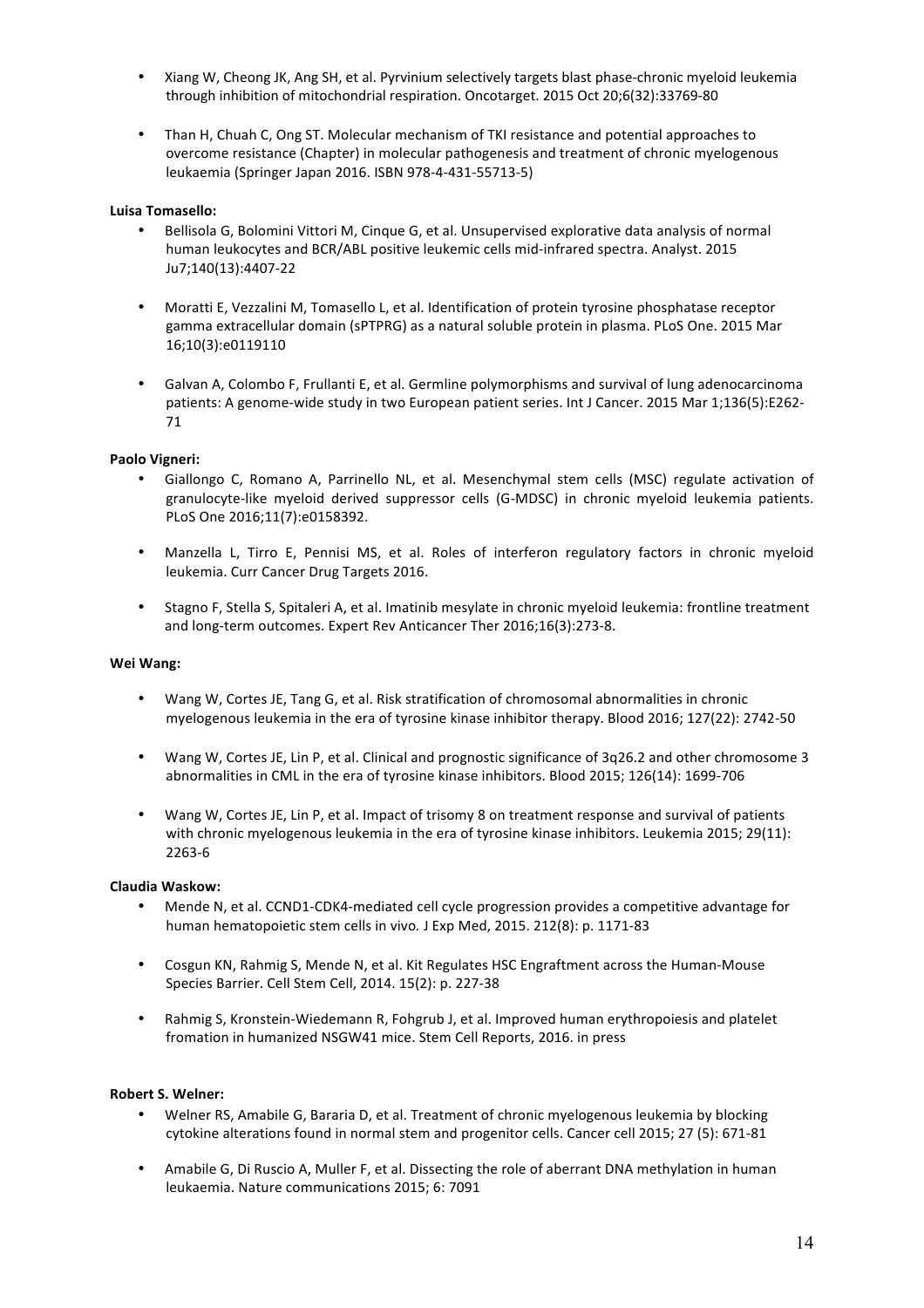- Xiang W, Cheong JK, Ang SH, et al. Pyrvinium selectively targets blast phase-chronic myeloid leukemia through inhibition of mitochondrial respiration. Oncotarget. 2015 Oct 20;6(32):33769-80
- Than H, Chuah C, Ong ST. Molecular mechanism of TKI resistance and potential approaches to overcome resistance (Chapter) in molecular pathogenesis and treatment of chronic myelogenous leukaemia (Springer Japan 2016. ISBN 978-4-431-55713-5)

# **Luisa Tomasello:**

- Bellisola G, Bolomini Vittori M, Cinque G, et al. Unsupervised explorative data analysis of normal human leukocytes and BCR/ABL positive leukemic cells mid-infrared spectra. Analyst. 2015 Ju7;140(13):4407-22
- Moratti E, Vezzalini M, Tomasello L, et al. Identification of protein tyrosine phosphatase receptor gamma extracellular domain (sPTPRG) as a natural soluble protein in plasma. PLoS One. 2015 Mar 16;10(3):e0119110
- Galvan A, Colombo F, Frullanti E, et al. Germline polymorphisms and survival of lung adenocarcinoma patients: A genome-wide study in two European patient series. Int J Cancer. 2015 Mar 1;136(5):E262-71

# **Paolo Vigneri:**

- Giallongo C, Romano A, Parrinello NL, et al. Mesenchymal stem cells (MSC) regulate activation of granulocyte-like myeloid derived suppressor cells (G-MDSC) in chronic myeloid leukemia patients. PLoS One 2016;11(7):e0158392.
- Manzella L, Tirro E, Pennisi MS, et al. Roles of interferon regulatory factors in chronic myeloid leukemia. Curr Cancer Drug Targets 2016.
- Stagno F, Stella S, Spitaleri A, et al. Imatinib mesylate in chronic myeloid leukemia: frontline treatment and long-term outcomes. Expert Rev Anticancer Ther 2016;16(3):273-8.

## **Wei Wang:**

- Wang W, Cortes JE, Tang G, et al. Risk stratification of chromosomal abnormalities in chronic myelogenous leukemia in the era of tyrosine kinase inhibitor therapy. Blood 2016; 127(22): 2742-50
- Wang W, Cortes JE, Lin P, et al. Clinical and prognostic significance of 3q26.2 and other chromosome 3 abnormalities in CML in the era of tyrosine kinase inhibitors. Blood 2015: 126(14): 1699-706
- Wang W, Cortes JE, Lin P, et al. Impact of trisomy 8 on treatment response and survival of patients with chronic myelogenous leukemia in the era of tyrosine kinase inhibitors. Leukemia 2015; 29(11): 2263-6

## **Claudia Waskow:**

- Mende N, et al. CCND1-CDK4-mediated cell cycle progression provides a competitive advantage for human hematopoietic stem cells in vivo. J Exp Med, 2015. 212(8): p. 1171-83
- Cosgun KN, Rahmig S, Mende N, et al. Kit Regulates HSC Engraftment across the Human-Mouse Species Barrier. Cell Stem Cell, 2014. 15(2): p. 227-38
- Rahmig S, Kronstein-Wiedemann R, Fohgrub J, et al. Improved human erythropoiesis and platelet fromation in humanized NSGW41 mice. Stem Cell Reports, 2016. in press

### **Robert S. Welner:**

- Welner RS, Amabile G, Bararia D, et al. Treatment of chronic myelogenous leukemia by blocking cytokine alterations found in normal stem and progenitor cells. Cancer cell 2015; 27 (5): 671-81
- Amabile G, Di Ruscio A, Muller F, et al. Dissecting the role of aberrant DNA methylation in human leukaemia. Nature communications 2015; 6: 7091